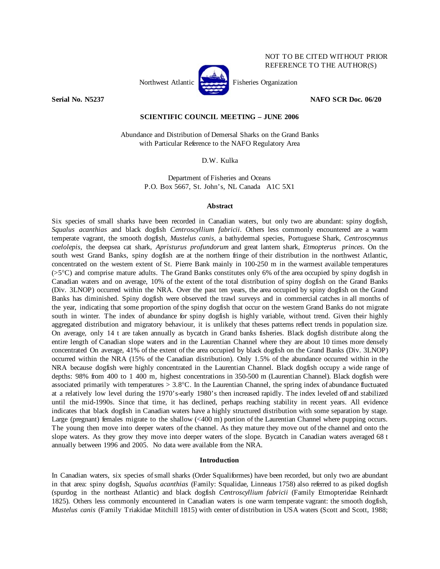

**Serial No. N5237 NAFO SCR Doc. 06/20** 

NOT TO BE CITED WITHOUT PRIOR REFERENCE TO THE AUTHOR(S)

# **SCIENTIFIC COUNCIL MEETING – JUNE 2006**

Abundance and Distribution of Demersal Sharks on the Grand Banks with Particular Reference to the NAFO Regulatory Area

D.W. Kulka

Department of Fisheries and Oceans P.O. Box 5667, St. John's, NL Canada A1C 5X1

#### **Abstract**

Six species of small sharks have been recorded in Canadian waters, but only two are abundant: spiny dogfish, *Squalus acanthias* and black dogfish *Centroscyllium fabricii*. Others less commonly encountered are a warm temperate vagrant, the smooth dogfish, *Mustelus canis,* a bathydermal species, Portuguese Shark, *Centroscymnus coelolepis,* the deepsea cat shark, *Apristurus profundorum* and great lantern shark, *Etmopterus princes*. On the south west Grand Banks, spiny dogfish are at the northern fringe of their distribution in the northwest Atlantic, concentrated on the western extent of St. Pierre Bank mainly in 100-250 m in the warmest available temperatures (>5°C) and comprise mature adults. The Grand Banks constitutes only 6% of the area occupied by spiny dogfish in Canadian waters and on average, 10% of the extent of the total distribution of spiny dogfish on the Grand Banks (Div. 3LNOP) occurred within the NRA. Over the past ten years, the area occupied by spiny dogfish on the Grand Banks has diminished. Spiny dogfish were observed the trawl surveys and in commercial catches in all months of the year, indicating that some proportion of the spiny dogfish that occur on the western Grand Banks do not migrate south in winter. The index of abundance for spiny dogfish is highly variable, without trend. Given their highly aggregated distribution and migratory behaviour, it is unlikely that theses patterns reflect trends in population size. On average, only 14 t are taken annually as bycatch in Grand banks fisheries. Black dogfish distribute along the entire length of Canadian slope waters and in the Laurentian Channel where they are about 10 times more densely concentrated On average, 41% of the extent of the area occupied by black dogfish on the Grand Banks (Div. 3LNOP) occurred within the NRA (15% of the Canadian distribution). Only 1.5% of the abundance occurred within in the NRA because dogfish were highly concentrated in the Laurentian Channel. Black dogfish occupy a wide range of depths: 98% from 400 to 1 400 m, highest concentrations in 350-500 m (Laurentian Channel). Black dogfish were associated primarily with temperatures > 3.8°C. In the Laurentian Channel, the spring index of abundance fluctuated at a relatively low level during the 1970's-early 1980's then increased rapidly. The index leveled off and stabilized until the mid-1990s. Since that time, it has declined, perhaps reaching stability in recent years. All evidence indicates that black dogfish in Canadian waters have a highly structured distribution with some separation by stage. Large (pregnant) females migrate to the shallow (<400 m) portion of the Laurentian Channel where pupping occurs. The young then move into deeper waters of the channel. As they mature they move out of the channel and onto the slope waters. As they grow they move into deeper waters of the slope. Bycatch in Canadian waters averaged 68 t annually between 1996 and 2005. No data were available from the NRA.

#### **Introduction**

In Canadian waters, six species of small sharks (Order Squaliformes) have been recorded, but only two are abundant in that area: spiny dogfish, *Squalus acanthias* (Family: Squalidae, Linneaus 1758) also referred to as piked dogfish (spurdog in the northeast Atlantic) and black dogfish *Centroscyllium fabricii* (Family Etmopteridae Reinhardt 1825). Others less commonly encountered in Canadian waters is one warm temperate vagrant: the smooth dogfish, *Mustelus canis* (Family Triakidae Mitchill 1815) with center of distribution in USA waters (Scott and Scott, 1988;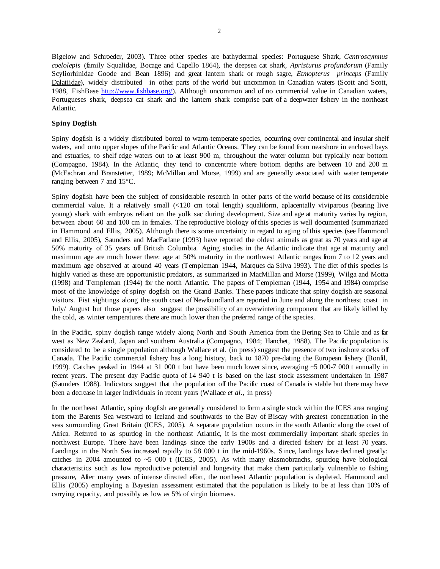Bigelow and Schroeder, 2003). Three other species are bathydermal species: Portuguese Shark, *Centroscymnus coelolepis* (family Squalidae, Bocage and Capello 1864)*,* the deepsea cat shark, *Apristurus profundorum* (Family Scyliorhinidae Goode and Bean 1896) and great lantern shark or rough sagre, *Etmopterus princeps* (Family Dalatiidae), widely distributed in other parts of the world but uncommon in Canadian waters (Scott and Scott, 1988, FishBase http://www.fishbase.org/). Although uncommon and of no commercial value in Canadian waters, Portugueses shark, deepsea cat shark and the lantern shark comprise part of a deepwater fishery in the northeast Atlantic.

## **Spiny Dogfish**

Spiny dogfish is a widely distributed boreal to warm-temperate species, occurring over continental and insular shelf waters, and onto upper slopes of the Pacific and Atlantic Oceans. They can be found from nearshore in enclosed bays and estuaries, to shelf edge waters out to at least 900 m, throughout the water column but typically near bottom (Compagno, 1984). In the Atlantic, they tend to concentrate where bottom depths are between 10 and 200 m (McEachran and Branstetter, 1989; McMillan and Morse, 1999) and are generally associated with water temperate ranging between 7 and 15°C.

Spiny dogfish have been the subject of considerable research in other parts of the world because of its considerable commercial value. It a relatively small (<120 cm total length) squaliform, aplacentally viviparous (bearing live young) shark with embryos reliant on the yolk sac during development. Size and age at maturity varies by region, between about 60 and 100 cm in females. The reproductive biology of this species is well documented (summarized in Hammond and Ellis, 2005). Although there is some uncertainty in regard to aging of this species (see Hammond and Ellis, 2005), Saunders and MacFarlane (1993) have reported the oldest animals as great as 70 years and age at 50% maturity of 35 years off British Columbia. Aging studies in the Atlantic indicate that age at maturity and maximum age are much lower there: age at 50% maturity in the northwest Atlantic ranges from 7 to 12 years and maximum age observed at around 40 years (Templeman 1944, Marques da Silva 1993). The diet of this species is highly varied as these are opportunistic predators, as summarized in MacMillan and Morse (1999), Wilga and Motta (1998) and Templeman (1944) for the north Atlantic. The papers of Templeman (1944, 1954 and 1984) comprise most of the knowledge of spiny dogfish on the Grand Banks. These papers indicate that spiny dogfish are seasonal visitors. Fist sightings along the south coast of Newfoundland are reported in June and along the northeast coast in July/ August but those papers also suggest the possibility of an overwintering component that are likely killed by the cold, as winter temperatures there are much lower than the preferred range of the species.

In the Pacific, spiny dogfish range widely along North and South America from the Bering Sea to Chile and as far west as New Zealand, Japan and southern Australia (Compagno, 1984; Hanchet, 1988). The Pacific population is considered to be a single population although Wallace et al. (in press) suggest the presence of two inshore stocks off Canada. The Pacific commercial fishery has a long history, back to 1870 pre-dating the European fishery (Bonfil, 1999). Catches peaked in 1944 at 31 000 t but have been much lower since, averaging ~5 000-7 000 t annually in recent years. The present day Pacific quota of 14 940 t is based on the last stock assessment undertaken in 1987 (Saunders 1988). Indicators suggest that the population off the Pacific coast of Canada is stable but there may have been a decrease in larger individuals in recent years (Wallace *et al*., in press)

In the northeast Atlantic, spiny dogfish are generally considered to form a single stock within the ICES area ranging from the Barents Sea westward to Iceland and southwards to the Bay of Biscay with greatest concentration in the seas surrounding Great Britain (ICES, 2005). A separate population occurs in the south Atlantic along the coast of Africa. Referred to as spurdog in the northeast Atlantic, it is the most commercially important shark species in northwest Europe. There have been landings since the early 1900s and a directed fishery for at least 70 years. Landings in the North Sea increased rapidly to 58 000 t in the mid-1960s. Since, landings have declined greatly: catches in 2004 amounted to  $\sim$  5 000 t (ICES, 2005). As with many elasmobranchs, spurdog have biological characteristics such as low reproductive potential and longevity that make them particularly vulnerable to fishing pressure, After many years of intense directed effort, the northeast Atlantic population is depleted. Hammond and Ellis (2005) employing a Bayesian assessment estimated that the population is likely to be at less than 10% of carrying capacity, and possibly as low as 5% of virgin biomass.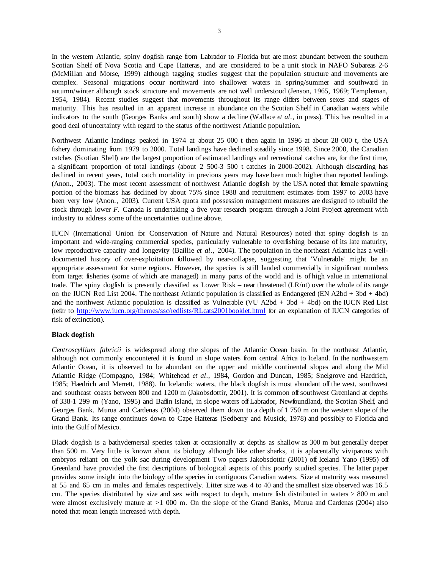In the western Atlantic, spiny dogfish range from Labrador to Florida but are most abundant between the southern Scotian Shelf off Nova Scotia and Cape Hatteras, and are considered to be a unit stock in NAFO Subareas 2-6 (McMillan and Morse, 1999) although tagging studies suggest that the population structure and movements are complex. Seasonal migrations occur northward into shallower waters in spring/summer and southward in autumn/winter although stock structure and movements are not well understood (Jenson, 1965, 1969; Templeman, 1954, 1984). Recent studies suggest that movements throughout its range differs between sexes and stages of maturity. This has resulted in an apparent increase in abundance on the Scotian Shelf in Canadian waters while indicators to the south (Georges Banks and south) show a decline (Wallace *et al*., in press). This has resulted in a good deal of uncertainty with regard to the status of the northwest Atlantic population.

Northwest Atlantic landings peaked in 1974 at about 25 000 t then again in 1996 at about 28 000 t, the USA fishery dominating from 1979 to 2000. Total landings have declined steadily since 1998. Since 2000, the Canadian catches (Scotian Shelf) are the largest proportion of estimated landings and recreational catches are, for the first time, a significant proportion of total landings (about 2 500-3 500 t catches in 2000-2002). Although discarding has declined in recent years, total catch mortality in previous years may have been much higher than reported landings (Anon., 2003). The most recent assessment of northwest Atlantic dogfish by the USA noted that female spawning portion of the biomass has declined by about 75% since 1988 and recruitment estimates from 1997 to 2003 have been very low (Anon., 2003). Current USA quota and possession management measures are designed to rebuild the stock through lower *F*. Canada is undertaking a five year research program through a Joint Project agreement with industry to address some of the uncertainties outline above.

IUCN (International Union for Conservation of Nature and Natural Resources) noted that spiny dogfish is an important and wide-ranging commercial species, particularly vulnerable to overfishing because of its late maturity, low reproductive capacity and longevity (Baillie *et al*., 2004). The population in the northeast Atlantic has a welldocumented history of over-exploitation followed by near-collapse, suggesting that 'Vulnerable' might be an appropriate assessment for some regions. However, the species is still landed commercially in significant numbers from target fisheries (some of which are managed) in many parts of the world and is of high value in international trade. The spiny dogfish is presently classified as Lower Risk – near threatened (LR/nt) over the whole of its range on the IUCN Red List 2004. The northeast Atlantic population is classified as Endangered (EN A2bd + 3bd + 4bd) and the northwest Atlantic population is classified as Vulnerable (VU A2bd  $+$  3bd  $+$  4bd) on the IUCN Red List (refer to http://www.iucn.org/themes/ssc/redlists/RLcats2001booklet.html for an explanation of IUCN categories of risk of extinction).

## **Black dogfish**

*Centroscyllium fabricii* is widespread along the slopes of the Atlantic Ocean basin. In the northeast Atlantic, although not commonly encountered it is found in slope waters from central Africa to Iceland. In the northwestern Atlantic Ocean, it is observed to be abundant on the upper and middle continental slopes and along the Mid Atlantic Ridge (Compagno, 1984; Whitehead *et al*., 1984, Gordon and Duncan, 1985; Snelgrove and Haedrich, 1985; Haedrich and Merrett, 1988). In Icelandic waters, the black dogfish is most abundant off the west, southwest and southeast coasts between 800 and 1200 m (Jakobsdottir, 2001). It is common off southwest Greenland at depths of 338-1 299 m (Yano, 1995) and Baffin Island, in slope waters off Labrador, Newfoundland, the Scotian Shelf, and Georges Bank. Murua and Cardenas (2004) observed them down to a depth of 1 750 m on the western slope of the Grand Bank. Its range continues down to Cape Hatteras (Sedberry and Musick, 1978) and possibly to Florida and into the Gulf of Mexico.

Black dogfish is a bathydemersal species taken at occasionally at depths as shallow as 300 m but generally deeper than 500 m. Very little is known about its biology although like other sharks, it is aplacentally viviparous with embryos reliant on the yolk sac during development Two papers Jakobsdottir (2001) off Iceland Yano (1995) off Greenland have provided the first descriptions of biological aspects of this poorly studied species. The latter paper provides some insight into the biology of the species in contiguous Canadian waters. Size at maturity was measured at 55 and 65 cm in males and females respectively. Litter size was 4 to 40 and the smallest size observed was 16.5 cm. The species distributed by size and sex with respect to depth, mature fish distributed in waters  $> 800$  m and were almost exclusively mature at  $>1000$  m. On the slope of the Grand Banks, Murua and Cardenas (2004) also noted that mean length increased with depth.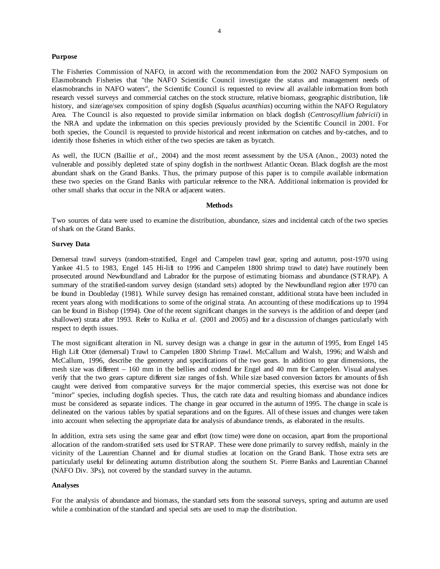### **Purpose**

The Fisheries Commission of NAFO, in accord with the recommendation from the 2002 NAFO Symposium on Elasmobranch Fisheries that "the NAFO Scientific Council investigate the status and management needs of elasmobranchs in NAFO waters", the Scientific Council is requested to review all available information from both research vessel surveys and commercial catches on the stock structure, relative biomass, geographic distribution, life history, and size/age/sex composition of spiny dogfish (*Squalus acanthias*) occurring within the NAFO Regulatory Area. The Council is also requested to provide similar information on black dogfish (*Centroscyllium fabricii*) in the NRA and update the information on this species previously provided by the Scientific Council in 2001. For both species, the Council is requested to provide historical and recent information on catches and by-catches, and to identify those fisheries in which either of the two species are taken as bycatch.

As well, the IUCN (Baillie *et al*., 2004) and the most recent assessment by the USA (Anon., 2003) noted the vulnerable and possibly depleted state of spiny dogfish in the northwest Atlantic Ocean. Black dogfish are the most abundant shark on the Grand Banks. Thus, the primary purpose of this paper is to compile available information these two species on the Grand Banks with particular reference to the NRA. Additional information is provided for other small sharks that occur in the NRA or adjacent waters.

## **Methods**

Two sources of data were used to examine the distribution, abundance, sizes and incidental catch of the two species of shark on the Grand Banks.

## **Survey Data**

Demersal trawl surveys (random-stratified, Engel and Campelen trawl gear, spring and autumn, post-1970 using Yankee 41.5 to 1983, Engel 145 Hi-lift to 1996 and Campelen 1800 shrimp trawl to date) have routinely been prosecuted around Newfoundland and Labrador for the purpose of estimating biomass and abundance (STRAP). A summary of the stratified-random survey design (standard sets) adopted by the Newfoundland region after 1970 can be found in Doubleday (1981). While survey design has remained constant, additional strata have been included in recent years along with modifications to some of the original strata. An accounting of these modifications up to 1994 can be found in Bishop (1994). One of the recent significant changes in the surveys is the addition of and deeper (and shallower) strata after 1993. Refer to Kulka *et al*. (2001 and 2005) and for a discussion of changes particularly with respect to depth issues.

The most significant alteration in NL survey design was a change in gear in the autumn of 1995, from Engel 145 High Lift Otter (demersal) Trawl to Campelen 1800 Shrimp Trawl. McCallum and Walsh, 1996; and Walsh and McCallum, 1996, describe the geometry and specifications of the two gears. In addition to gear dimensions, the mesh size was different – 160 mm in the bellies and codend for Engel and 40 mm for Campelen. Visual analyses verify that the two gears capture different size ranges of fish. While size based conversion factors for amounts of fish caught were derived from comparative surveys for the major commercial species, this exercise was not done for "minor" species, including dogfish species. Thus, the catch rate data and resulting biomass and abundance indices must be considered as separate indices. The change in gear occurred in the autumn of 1995. The change in scale is delineated on the various tables by spatial separations and on the figures. All of these issues and changes were taken into account when selecting the appropriate data for analysis of abundance trends, as elaborated in the results.

In addition, extra sets using the same gear and effort (tow time) were done on occasion, apart from the proportional allocation of the random-stratified sets used for STRAP. These were done primarily to survey redfish, mainly in the vicinity of the Laurentian Channel and for diurnal studies at location on the Grand Bank. Those extra sets are particularly useful for delineating autumn distribution along the southern St. Pierre Banks and Laurentian Channel (NAFO Div. 3Ps), not covered by the standard survey in the autumn.

#### **Analyses**

For the analysis of abundance and biomass, the standard sets from the seasonal surveys, spring and autumn are used while a combination of the standard and special sets are used to map the distribution.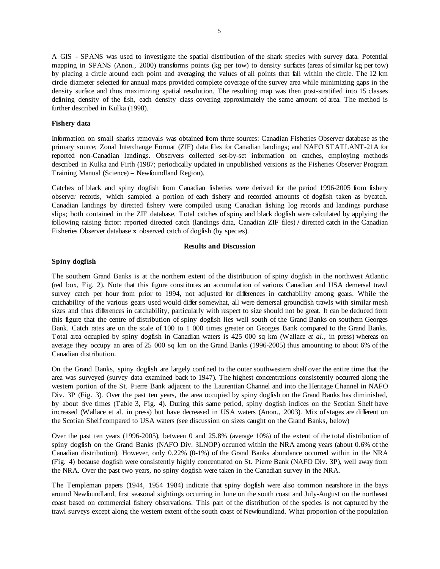A GIS - SPANS was used to investigate the spatial distribution of the shark species with survey data. Potential mapping in SPANS (Anon., 2000) transforms points (kg per tow) to density surfaces (areas of similar kg per tow) by placing a circle around each point and averaging the values of all points that fall within the circle. The 12 km circle diameter selected for annual maps provided complete coverage of the survey area while minimizing gaps in the density surface and thus maximizing spatial resolution. The resulting map was then post-stratified into 15 classes defining density of the fish, each density class covering approximately the same amount of area. The method is further described in Kulka (1998).

## **Fishery data**

Information on small sharks removals was obtained from three sources: Canadian Fisheries Observer database as the primary source; Zonal Interchange Format (ZIF) data files for Canadian landings; and NAFO STATLANT-21A for reported non-Canadian landings. Observers collected set-by-set information on catches, employing methods described in Kulka and Firth (1987; periodically updated in unpublished versions as the Fisheries Observer Program Training Manual (Science) – Newfoundland Region).

Catches of black and spiny dogfish from Canadian fisheries were derived for the period 1996-2005 from fishery observer records, which sampled a portion of each fishery and recorded amounts of dogfish taken as bycatch. Canadian landings by directed fishery were compiled using Canadian fishing log records and landings purchase slips; both contained in the ZIF database. Total catches of spiny and black dogfish were calculated by applying the following raising factor: reported directed catch (landings data, Canadian ZIF files) **/** directed catch in the Canadian Fisheries Observer database **x** observed catch of dogfish (by species).

#### **Results and Discussion**

## **Spiny dogfish**

The southern Grand Banks is at the northern extent of the distribution of spiny dogfish in the northwest Atlantic (red box, Fig. 2). Note that this figure constitutes an accumulation of various Canadian and USA demersal trawl survey catch per hour from prior to 1994, not adjusted for differences in catchability among gears. While the catchability of the various gears used would differ somewhat, all were demersal groundfish trawls with similar mesh sizes and thus differences in catchability, particularly with respect to size should not be great. It can be deduced from this figure that the centre of distribution of spiny dogfish lies well south of the Grand Banks on southern Georges Bank. Catch rates are on the scale of 100 to 1 000 times greater on Georges Bank compared to the Grand Banks. Total area occupied by spiny dogfish in Canadian waters is 425 000 sq km (Wallace *et al*., in press) whereas on average they occupy an area of 25 000 sq km on the Grand Banks (1996-2005) thus amounting to about 6% of the Canadian distribution.

On the Grand Banks, spiny dogfish are largely confined to the outer southwestern shelf over the entire time that the area was surveyed (survey data examined back to 1947). The highest concentrations consistently occurred along the western portion of the St. Pierre Bank adjacent to the Laurentian Channel and into the Heritage Channel in NAFO Div. 3P (Fig. 3). Over the past ten years, the area occupied by spiny dogfish on the Grand Banks has diminished, by about five times (Table 3, Fig. 4). During this same period, spiny dogfish indices on the Scotian Shelf have increased (Wallace et al. in press) but have decreased in USA waters (Anon., 2003). Mix of stages are different on the Scotian Shelf compared to USA waters (see discussion on sizes caught on the Grand Banks, below)

Over the past ten years (1996-2005), between 0 and 25.8% (average 10%) of the extent of the total distribution of spiny dogfish on the Grand Banks (NAFO Div. 3LNOP) occurred within the NRA among years (about 0.6% of the Canadian distribution). However, only 0.22% (0-1%) of the Grand Banks abundance occurred within in the NRA (Fig. 4) because dogfish were consistently highly concentrated on St. Pierre Bank (NAFO Div. 3P), well away from the NRA. Over the past two years, no spiny dogfish were taken in the Canadian survey in the NRA.

The Templeman papers (1944, 1954 1984) indicate that spiny dogfish were also common nearshore in the bays around Newfoundland, first seasonal sightings occurring in June on the south coast and July-August on the northeast coast based on commercial fishery observations. This part of the distribution of the species is not captured by the trawl surveys except along the western extent of the south coast of Newfoundland. What proportion of the population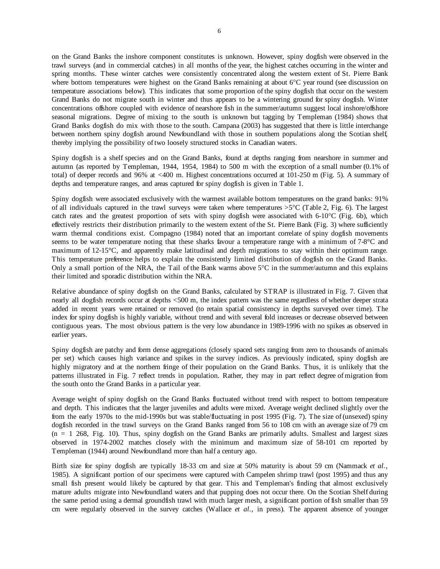on the Grand Banks the inshore component constitutes is unknown. However, spiny dogfish were observed in the trawl surveys (and in commercial catches) in all months of the year, the highest catches occurring in the winter and spring months. These winter catches were consistently concentrated along the western extent of St. Pierre Bank where bottom temperatures were highest on the Grand Banks remaining at about 6°C year round (see discussion on temperature associations below). This indicates that some proportion of the spiny dogfish that occur on the western Grand Banks do not migrate south in winter and thus appears to be a wintering ground for spiny dogfish. Winter concentrations offshore coupled with evidence of nearshore fish in the summer/autumn suggest local inshore/offshore seasonal migrations. Degree of mixing to the south is unknown but tagging by Templeman (1984) shows that Grand Banks dogfish do mix with those to the south. Campana (2003) has suggested that there is little interchange between northern spiny dogfish around Newfoundland with those in southern populations along the Scotian shelf, thereby implying the possibility of two loosely structured stocks in Canadian waters.

Spiny dogfish is a shelf species and on the Grand Banks, found at depths ranging from nearshore in summer and autumn (as reported by Templeman, 1944, 1954, 1984) to 500 m with the exception of a small number (0.1% of total) of deeper records and 96% at <400 m. Highest concentrations occurred at 101-250 m (Fig. 5). A summary of depths and temperature ranges, and areas captured for spiny dogfish is given in Table 1.

Spiny dogfish were associated exclusively with the warmest available bottom temperatures on the grand banks: 91% of all individuals captured in the trawl surveys were taken where temperatures  $>5^{\circ}$ C (Table 2, Fig. 6). The largest catch rates and the greatest proportion of sets with spiny dogfish were associated with 6-10°C (Fig. 6b), which effectively restricts their distribution primarily to the western extent of the St. Pierre Bank (Fig. 3) where sufficiently warm thermal conditions exist. Compagno (1984) noted that an important correlate of spiny dogfish movements seems to be water temperature noting that these sharks favour a temperature range with a minimum of 7-8°C and maximum of 12-15°C, and apparently make latitudinal and depth migrations to stay within their optimum range. This temperature preference helps to explain the consistently limited distribution of dogfish on the Grand Banks. Only a small portion of the NRA, the Tail of the Bank warms above  $5^{\circ}$ C in the summer/autumn and this explains their limited and sporadic distribution within the NRA.

Relative abundance of spiny dogfish on the Grand Banks, calculated by STRAP is illustrated in Fig. 7. Given that nearly all dogfish records occur at depths <500 m, the index pattern was the same regardless of whether deeper strata added in recent years were retained or removed (to retain spatial consistency in depths surveyed over time). The index for spiny dogfish is highly variable, without trend and with several fold increases or decrease observed between contiguous years. The most obvious pattern is the very low abundance in 1989-1996 with no spikes as observed in earlier years.

Spiny dogfish are patchy and form dense aggregations (closely spaced sets ranging from zero to thousands of animals per set) which causes high variance and spikes in the survey indices. As previously indicated, spiny dogfish are highly migratory and at the northern fringe of their population on the Grand Banks. Thus, it is unlikely that the patterns illustrated in Fig. 7 reflect trends in population. Rather, they may in part reflect degree of migration from the south onto the Grand Banks in a particular year.

Average weight of spiny dogfish on the Grand Banks fluctuated without trend with respect to bottom temperature and depth. This indicates that the larger juveniles and adults were mixed. Average weight declined slightly over the from the early 1970s to the mid-1990s but was stable/fluctuating in post 1995 (Fig. 7). The size of (unsexed) spiny dogfish recorded in the trawl surveys on the Grand Banks ranged from 56 to 108 cm with an average size of 79 cm  $(n = 1, 268, Fig. 10)$ . Thus, spiny dogfish on the Grand Banks are primarily adults. Smallest and largest sizes observed in 1974-2002 matches closely with the minimum and maximum size of 58-101 cm reported by Templeman (1944) around Newfoundland more than half a century ago.

Birth size for spiny dogfish are typically 18-33 cm and size at 50% maturity is about 59 cm (Nammack *et al.*, 1985). A significant portion of our specimens were captured with Campelen shrimp trawl (post 1995) and thus any small fish present would likely be captured by that gear. This and Templeman's finding that almost exclusively mature adults migrate into Newfoundland waters and that pupping does not occur there. On the Scotian Shelf during the same period using a dermal groundfish trawl with much larger mesh, a significant portion of fish smaller than 59 cm were regularly observed in the survey catches (Wallace *et al*., in press). The apparent absence of younger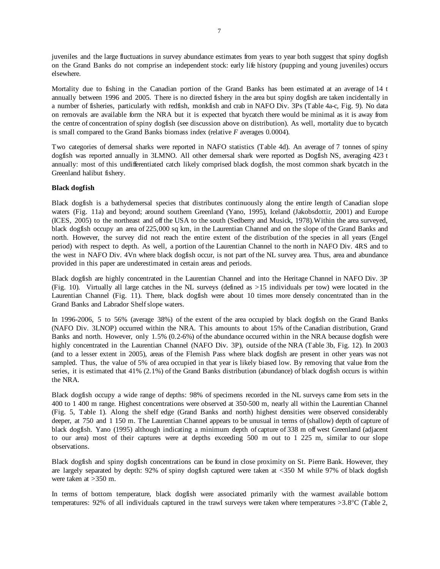juveniles and the large fluctuations in survey abundance estimates from years to year both suggest that spiny dogfish on the Grand Banks do not comprise an independent stock: early life history (pupping and young juveniles) occurs elsewhere.

Mortality due to fishing in the Canadian portion of the Grand Banks has been estimated at an average of 14 t annually between 1996 and 2005. There is no directed fishery in the area but spiny dogfish are taken incidentally in a number of fisheries, particularly with redfish, monkfish and crab in NAFO Div. 3Ps (Table 4a-c, Fig. 9). No data on removals are available form the NRA but it is expected that bycatch there would be minimal as it is away from the centre of concentration of spiny dogfish (see discussion above on distribution). As well, mortality due to bycatch is small compared to the Grand Banks biomass index (relative *F* averages 0.0004).

Two categories of demersal sharks were reported in NAFO statistics (Table 4d). An average of 7 tonnes of spiny dogfish was reported annually in 3LMNO. All other demersal shark were reported as Dogfish NS, averaging 423 t annually: most of this undifferentiated catch likely comprised black dogfish, the most common shark bycatch in the Greenland halibut fishery.

## **Black dogfish**

Black dogfish is a bathydemersal species that distributes continuously along the entire length of Canadian slope waters (Fig. 11a) and beyond; around southern Greenland (Yano, 1995), Iceland (Jakobsdottir, 2001) and Europe (ICES, 2005) to the northeast and off the USA to the south (Sedberry and Musick, 1978).Within the area surveyed, black dogfish occupy an area of 225,000 sq km, in the Laurentian Channel and on the slope of the Grand Banks and north. However, the survey did not reach the entire extent of the distribution of the species in all years (Engel period) with respect to depth. As well, a portion of the Laurentian Channel to the north in NAFO Div. 4RS and to the west in NAFO Div. 4Vn where black dogfish occur, is not part of the NL survey area. Thus, area and abundance provided in this paper are underestimated in certain areas and periods.

Black dogfish are highly concentrated in the Laurentian Channel and into the Heritage Channel in NAFO Div. 3P (Fig. 10). Virtually all large catches in the NL surveys (defined as >15 individuals per tow) were located in the Laurentian Channel (Fig. 11). There, black dogfish were about 10 times more densely concentrated than in the Grand Banks and Labrador Shelf slope waters.

In 1996-2006, 5 to 56% (average 38%) of the extent of the area occupied by black dogfish on the Grand Banks (NAFO Div. 3LNOP) occurred within the NRA. This amounts to about 15% of the Canadian distribution, Grand Banks and north. However, only 1.5% (0.2-6%) of the abundance occurred within in the NRA because dogfish were highly concentrated in the Laurentian Channel (NAFO Div. 3P), outside of the NRA (Table 3b, Fig. 12). In 2003 (and to a lesser extent in 2005), areas of the Flemish Pass where black dogfish are present in other years was not sampled. Thus, the value of 5% of area occupied in that year is likely biased low. By removing that value from the series, it is estimated that 41% (2.1%) of the Grand Banks distribution (abundance) of black dogfish occurs is within the NRA.

Black dogfish occupy a wide range of depths: 98% of specimens recorded in the NL surveys came from sets in the 400 to 1 400 m range. Highest concentrations were observed at 350-500 m, nearly all within the Laurentian Channel (Fig. 5, Table 1). Along the shelf edge (Grand Banks and north) highest densities were observed considerably deeper, at 750 and 1 150 m. The Laurentian Channel appears to be unusual in terms of (shallow) depth of capture of black dogfish. Yano (1995) although indicating a minimum depth of capture of 338 m off west Greenland (adjacent to our area) most of their captures were at depths exceeding 500 m out to 1 225 m, similar to our slope observations.

Black dogfish and spiny dogfish concentrations can be found in close proximity on St. Pierre Bank. However, they are largely separated by depth: 92% of spiny dogfish captured were taken at <350 M while 97% of black dogfish were taken at >350 m.

In terms of bottom temperature, black dogfish were associated primarily with the warmest available bottom temperatures: 92% of all individuals captured in the trawl surveys were taken where temperatures >3.8°C (Table 2,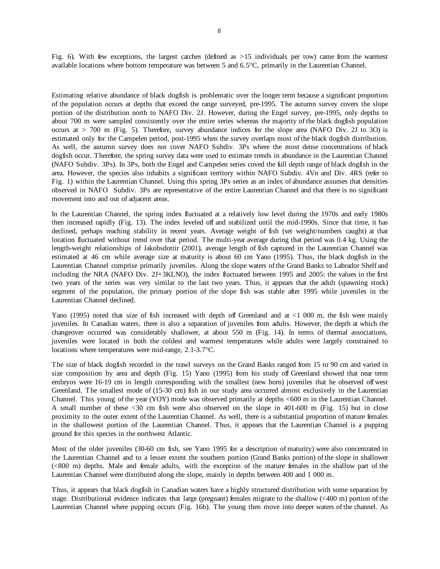Fig. 6). With few exceptions, the largest catches (defined as >15 individuals per tow) came from the warmest available locations where bottom temperature was between 5 and 6.5°C, primarily in the Laurentian Channel.

Estimating relative abundance of black dogfish is problematic over the longer term because a significant proportion of the population occurs at depths that exceed the range surveyed, pre-1995. The autumn survey covers the slope portion of the distribution north to NAFO Div. 2J. However, during the Engel survey, pre-1995, only depths to about 700 m were sampled consistently over the entire series whereas the majority of the black dogfish population occurs at  $> 700$  m (Fig. 5). Therefore, survey abundance indices for the slope area (NAFO Div. 2J to 3O) is estimated only for the Campelen period, post-1995 when the survey overlaps most of the black dogfish distribution. As well, the autumn survey does not cover NAFO Subdiv. 3Ps where the most dense concentrations of black dogfish occur. Therefore, the spring survey data were used to estimate trends in abundance in the Laurentian Channel (NAFO Subdiv. 3Ps). In 3Ps, both the Engel and Campelen series coved the full depth range of black dogfish in the area. However, the species also inhabits a significant territory within NAFO Subdiv. 4Vn and Div. 4RS (refer to Fig. 1) within the Laurentian Channel. Using this spring 3Ps series as an index of abundance assumes that densities observed in NAFO Subdiv. 3Ps are representative of the entire Laurentian Channel and that there is no significant movement into and out of adjacent areas.

In the Laurentian Channel, the spring index fluctuated at a relatively low level during the 1970s and early 1980s then increased rapidly (Fig. 13). The index leveled off and stabilized until the mid-1990s. Since that time, it has declined, perhaps reaching stability in recent years. Average weight of fish (set weight/numbers caught) at that location fluctuated without trend over that period. The multi-year average during that period was 0.4 kg. Using the length-weight relationships of Jakobsdottir (2001), average length of fish captured in the Laurentian Channel was estimated at 46 cm while average size at maturity is about 60 cm Yano (1995). Thus, the black dogfish in the Laurentian Channel comprise primarily juveniles. Along the slope waters of the Grand Banks to Labrador Shelf and including the NRA (NAFO Div. 2J+3KLNO), the index fluctuated between 1995 and 2005: the values in the first two years of the series was very similar to the last two years. Thus, it appears that the adult (spawning stock) segment of the population, the primary portion of the slope fish was stable after 1995 while juveniles in the Laurentian Channel declined.

Yano (1995) noted that size of fish increased with depth off Greenland and at <1 000 m, the fish were mainly juveniles. In Canadian waters, there is also a separation of juveniles from adults. However, the depth at which the changeover occurred was considerably shallower, at about 550 m (Fig. 14). In terms of thermal associations, juveniles were located in both the coldest and warmest temperatures while adults were largely constrained to locations where temperatures were mid-range, 2.1-3.7°C.

The size of black dogfish recorded in the trawl surveys on the Grand Banks ranged from 15 to 90 cm and varied in size composition by area and depth (Fig. 15) Yano (1995) from his study off Greenland showed that near term embryos were 16-19 cm in length corresponding with the smallest (new born) juveniles that he observed off west Greenland. The smallest mode of (15-30 cm) fish in our study area occurred almost exclusively in the Laurentian Channel. This young of the year (YOY) mode was observed primarily at depths <600 m in the Laurentian Channel. A small number of these <30 cm fish were also observed on the slope in 401-600 m (Fig. 15) but in close proximity to the outer extent of the Laurentian Channel. As well, there is a substantial proportion of mature females in the shallowest portion of the Laurentian Channel. Thus, it appears that the Laurentian Channel is a pupping ground for this species in the northwest Atlantic.

Most of the older juveniles (30-60 cm fish, see Yano 1995 for a description of maturity) were also concentrated in the Laurentian Channel and to a lesser extent the southern portion (Grand Banks portion) of the slope in shallower (<800 m) depths. Male and female adults, with the exception of the mature females in the shallow part of the Laurentian Channel were distributed along the slope, mainly in depths between 400 and 1 000 m.

Thus, it appears that black dogfish in Canadian waters have a highly structured distribution with some separation by stage. Distributional evidence indicates that large (pregnant) females migrate to the shallow (<400 m) portion of the Laurentian Channel where pupping occurs (Fig. 16b). The young then move into deeper waters of the channel. As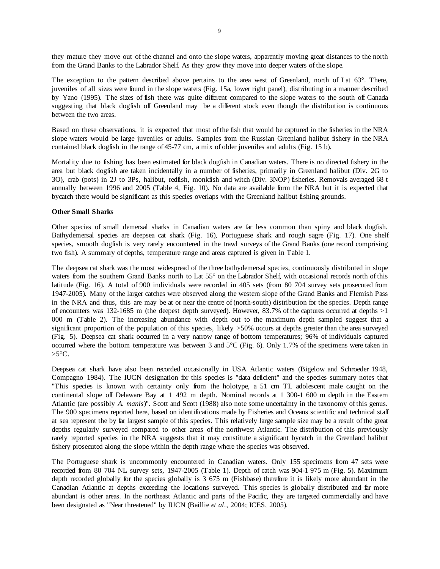they mature they move out of the channel and onto the slope waters, apparently moving great distances to the north from the Grand Banks to the Labrador Shelf. As they grow they move into deeper waters of the slope.

The exception to the pattern described above pertains to the area west of Greenland, north of Lat 63°. There, juveniles of all sizes were found in the slope waters (Fig. 15a, lower right panel), distributing in a manner described by Yano (1995). The sizes of fish there was quite different compared to the slope waters to the south off Canada suggesting that black dogfish off Greenland may be a different stock even though the distribution is continuous between the two areas.

Based on these observations, it is expected that most of the fish that would be captured in the fisheries in the NRA slope waters would be large juveniles or adults. Samples from the Russian Greenland halibut fishery in the NRA contained black dogfish in the range of 45-77 cm, a mix of older juveniles and adults (Fig. 15 b).

Mortality due to fishing has been estimated for black dogfish in Canadian waters. There is no directed fishery in the area but black dogfish are taken incidentally in a number of fisheries, primarily in Greenland halibut (Div. 2G to 3O), crab (pots) in 2J to 3Ps, halibut, redfish, monkfish and witch (Div. 3NOP) fisheries. Removals averaged 68 t annually between 1996 and 2005 (Table 4, Fig. 10). No data are available form the NRA but it is expected that bycatch there would be significant as this species overlaps with the Greenland halibut fishing grounds.

## **Other Small Sharks**

Other species of small demersal sharks in Canadian waters are far less common than spiny and black dogfish. Bathydemersal species are deepsea cat shark (Fig. 16), Portuguese shark and rough sagre (Fig. 17). One shelf species, smooth dogfish is very rarely encountered in the trawl surveys of the Grand Banks (one record comprising two fish). A summary of depths, temperature range and areas captured is given in Table 1.

The deepsea cat shark was the most widespread of the three bathydemersal species, continuously distributed in slope waters from the southern Grand Banks north to Lat 55° on the Labrador Shelf, with occasional records north of this latitude (Fig. 16). A total of 900 individuals were recorded in 405 sets (from 80 704 survey sets prosecuted from 1947-2005). Many of the larger catches were observed along the western slope of the Grand Banks and Flemish Pass in the NRA and thus, this are may be at or near the centre of (north-south) distribution for the species. Depth range of encounters was 132-1685 m (the deepest depth surveyed). However, 83.7% of the captures occurred at depths >1 000 m (Table 2). The increasing abundance with depth out to the maximum depth sampled suggest that a significant proportion of the population of this species, likely  $>50\%$  occurs at depths greater than the area surveyed (Fig. 5). Deepsea cat shark occurred in a very narrow range of bottom temperatures; 96% of individuals captured occurred where the bottom temperature was between 3 and 5°C (Fig. 6). Only 1.7% of the specimens were taken in  $>5^{\circ}C$ .

Deepsea cat shark have also been recorded occasionally in USA Atlantic waters (Bigelow and Schroeder 1948, Compagno 1984). The IUCN designation for this species is "data deficient" and the species summary notes that "This species is known with certainty only from the holotype, a 51 cm TL adolescent male caught on the continental slope off Delaware Bay at 1 492 m depth. Nominal records at 1 300-1 600 m depth in the Eastern Atlantic (are possibly *A. manis*)". Scott and Scott (1988) also note some uncertainty in the taxonomy of this genus. The 900 specimens reported here, based on identifications made by Fisheries and Oceans scientific and technical staff at sea represent the by far largest sample of this species. This relatively large sample size may be a result of the great depths regularly surveyed compared to other areas of the northwest Atlantic. The distribution of this previously rarely reported species in the NRA suggests that it may constitute a significant bycatch in the Greenland halibut fishery prosecuted along the slope within the depth range where the species was observed.

The Portuguese shark is uncommonly encountered in Canadian waters. Only 155 specimens from 47 sets were recorded from 80 704 NL survey sets, 1947-2005 (Table 1). Depth of catch was 904-1 975 m (Fig. 5). Maximum depth recorded globally for the species globally is 3 675 m (Fishbase) therefore it is likely more abundant in the Canadian Atlantic at depths exceeding the locations surveyed. This species is globally distributed and far more abundant is other areas. In the northeast Atlantic and parts of the Pacific, they are targeted commercially and have been designated as "Near threatened" by IUCN (Baillie *et al*., 2004; ICES, 2005).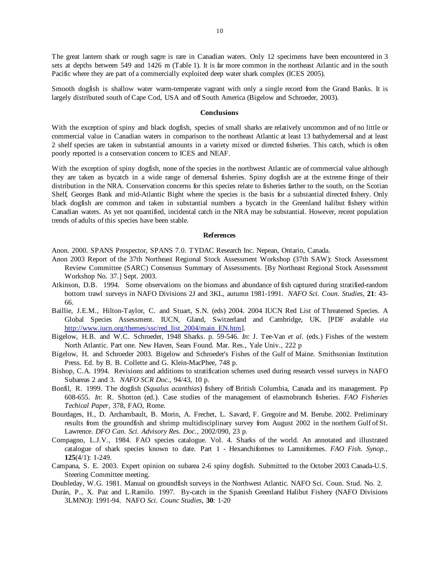The great lantern shark or rough sagre is rare in Canadian waters. Only 12 specimens have been encountered in 3 sets at depths between 549 and 1426 m (Table 1). It is far more common in the northeast Atlantic and in the south Pacific where they are part of a commercially exploited deep water shark complex (ICES 2005).

Smooth dogfish is shallow water warm-temperate vagrant with only a single record from the Grand Banks. It is largely distributed south of Cape Cod, USA and off South America (Bigelow and Schroeder, 2003).

### **Conclusions**

With the exception of spiny and black dogfish, species of small sharks are relatively uncommon and of no little or commercial value in Canadian waters in comparison to the northeast Atlantic at least 13 bathydemersal and at least 2 shelf species are taken in substantial amounts in a variety mixed or directed fisheries. This catch, which is often poorly reported is a conservation concern to ICES and NEAF.

With the exception of spiny dogfish, none of the species in the northwest Atlantic are of commercial value although they are taken as bycatch in a wide range of demersal fisheries. Spiny dogfish are at the extreme fringe of their distribution in the NRA. Conservation concerns for this species relate to fisheries farther to the south, on the Scotian Shelf, Georges Bank and mid-Atlantic Bight where the species is the basis for a substantial directed fishery. Only black dogfish are common and taken in substantial numbers a bycatch in the Greenland halibut fishery within Canadian waters. As yet not quantified, incidental catch in the NRA may be substantial. However, recent population trends of adults of this species have been stable.

#### **References**

- Anon. 2000. SPANS Prospector, SPANS 7.0. TYDAC Research Inc. Nepean, Ontario, Canada.
- Anon 2003 Report of the 37th Northeast Regional Stock Assessment Workshop (37th SAW): Stock Assessment Review Committee (SARC) Consensus Summary of Assessments. [By Northeast Regional Stock Assessment Workshop No. 37.] Sept. 2003.
- Atkinson, D.B. 1994. Some observations on the biomass and abundance of fish captured during stratified-random bottom trawl surveys in NAFO Divisions 2J and 3KL, autumn 1981-1991. *NAFO Sci. Coun. Studies*, **21**: 43- 66.
- Baillie, J.E.M., Hilton-Taylor, C. and Stuart, S.N. (eds) 2004. 2004 IUCN Red List of Threatened Species. A Global Species Assessment. IUCN, Gland, Switzerland and Cambridge, UK. [PDF avalable *via* http://www.iucn.org/themes/ssc/red\_list\_2004/main\_EN.htm].
- Bigelow, H.B. and W.C. Schroeder, 1948 Sharks. p. 59-546. *In*: J. Tee-Van *et al*. (eds.) Fishes of the western North Atlantic. Part one. New Haven, Sears Found. Mar. Res., Yale Univ., 222 p
- Bigelow, H. and Schroeder 2003. Bigelow and Schroeder's Fishes of the Gulf of Maine. Smithsonian Institution Press. Ed. by B. B. Collette and G. Klein-MacPhee, 748 p.
- Bishop, C.A. 1994. Revisions and additions to stratification schemes used during research vessel surveys in NAFO Subareas 2 and 3. *NAFO SCR Doc*., 94/43, 10 p.
- Bonfil, R. 1999. The dogfish (*Squalus acanthias*) fishery off British Columbia, Canada and its management. Pp 608-655. *In*: R. Shotton (ed.). Case studies of the management of elasmobranch fisheries. *FAO Fisheries Techical Paper*, 378, FAO, Rome.
- Bourdages, H., D. Archambault, B. Morin, A. Frechet, L. Savard, F. Gregoire and M. Berube. 2002. Preliminary results from the groundfish and shrimp multidisciplinary survey from August 2002 in the northern Gulf of St. Lawrence. *DFO Can. Sci. Advisory Res. Doc*., 2002/090, 23 p.
- Compagno, L.J.V., 1984. FAO species catalogue. Vol. 4. Sharks of the world. An annotated and illustrated catalogue of shark species known to date. Part 1 - Hexanchiformes to Lamniformes. *FAO Fish. Synop*., **125**(4/1): 1-249.
- Campana, S. E. 2003. Expert opinion on subarea 2-6 spiny dogfish. Submitted to the October 2003 Canada-U.S. Steering Committee meeting.
- Doubleday, W.G. 1981. Manual on groundfish surveys in the Northwest Atlantic. NAFO Sci. Coun. Stud. No. 2.
- Durán, P., X. Paz and L.Ramilo. 1997. By-catch in the Spanish Greenland Halibut Fishery (NAFO Divisions 3LMNO): 1991-94. NAFO *Sci. Counc Studies*, **30**: 1-20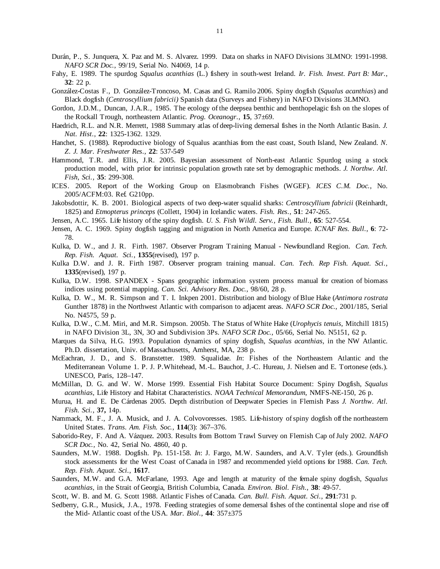- Durán, P., S. Junquera, X. Paz and M. S. Alvarez. 1999. Data on sharks in NAFO Divisions 3LMNO: 1991-1998. *NAFO SCR Doc*., 99/19, Serial No. N4069, 14 p.
- Fahy, E. 1989. The spurdog *Squalus acanthias* (L.) fishery in south-west Ireland. *Ir. Fish. Invest. Part B: Mar*., **32**: 22 p.
- González-Costas F., D. González-Troncoso, M. Casas and G. Ramilo 2006. Spiny dogfish (*Squalus acanthias*) and Black dogfish (*Centroscyllium fabricii)* Spanish data (Surveys and Fishery) in NAFO Divisions 3LMNO.
- Gordon, J.D.M., Duncan, J.A.R., 1985. The ecology of the deepsea benthic and benthopelagic fish on the slopes of the Rockall Trough, northeastern Atlantic. *Prog. Oceanogr*., **15**, 37±69.
- Haedrich, R.L. and N.R. Merrett, 1988 Summary atlas of deep-living demersal fishes in the North Atlantic Basin. *J. Nat. Hist*., **22**: 1325-1362. 1329.
- Hanchet, S. (1988). Reproductive biology of Squalus acanthias from the east coast, South Island, New Zealand. *N. Z. J. Mar. Freshwater Res*., **22**: 537-549
- Hammond, T.R. and Ellis, J.R. 2005. Bayesian assessment of North-east Atlantic Spurdog using a stock production model, with prior for intrinsic population growth rate set by demographic methods. *J. Northw. Atl. Fish, Sci.*, **35**: 299-308.
- ICES. 2005. Report of the Working Group on Elasmobranch Fishes (WGEF). *ICES C.M. Doc*., No. 2005/ACFM:03. Ref. G210pp.
- Jakobsdottir, K. B. 2001. Biological aspects of two deep-water squalid sharks: *Centroscyllium fabricii* (Reinhardt, 1825) and *Etmopterus princeps* (Collett, 1904) in Icelandic waters. *Fish. Res*., **51**: 247-265.
- Jensen, A.C. 1965. Life history of the spiny dogfish. *U. S. Fish Wildl. Serv., Fish. Bull*., **65**: 527-554.
- Jensen, A. C. 1969. Spiny dogfish tagging and migration in North America and Europe. *ICNAF Res. Bull*., **6**: 72- 78.
- Kulka, D. W., and J. R. Firth. 1987. Observer Program Training Manual Newfoundland Region. *Can. Tech. Rep. Fish. Aquat. Sci.*, **1355**(revised), 197 p.
- Kulka D.W. and J. R. Firth 1987. Observer program training manual. *Can. Tech. Rep Fish. Aquat. Sci*., **1335**(revised), 197 p.
- Kulka, D.W. 1998. SPANDEX Spans geographic information system process manual for creation of biomass indices using potential mapping. *Can. Sci. Advisory Res. Doc*., 98/60, 28 p.
- Kulka, D. W., M. R. Simpson and T. I. Inkpen 2001. Distribution and biology of Blue Hake (*Antimora rostrata*  Gunther 1878) in the Northwest Atlantic with comparison to adjacent areas. *NAFO SCR Doc*., 2001/185, Serial No. N4575, 59 p.
- Kulka, D.W., C.M. Miri, and M.R. Simpson. 2005b. The Status of White Hake (*Urophycis tenuis*, Mitchill 1815) in NAFO Division 3L, 3N, 3O and Subdivision 3Ps. *NAFO SCR Doc*., 05/66, Serial No. N5151, 62 p.
- Marques da Silva, H.G. 1993. Population dynamics of spiny dogfish, *Squalus acanthias*, in the NW Atlantic. Ph.D. dissertation, Univ. of Massachusetts, Amherst, MA, 238 p.
- McEachran, J. D., and S. Branstetter. 1989. Squalidae. *In*: Fishes of the Northeastern Atlantic and the Mediterranean Volume 1. P. J. P.Whitehead, M.-L. Bauchot, J.-C. Hureau, J. Nielsen and E. Tortonese (eds.). UNESCO, Paris, 128–147.
- McMillan, D. G. and W. W. Morse 1999. Essential Fish Habitat Source Document: Spiny Dogfish, *Squalus acanthias,* Life History and Habitat Characteristics. *NOAA Technical Memorandum*, NMFS-NE-150, 26 p.
- Murua, H. and E. De Cárdenas 2005. Depth distribution of Deepwater Species in Flemish Pass *J. Northw. Atl. Fish. Sci.*, **37,** 14p.
- Nammack, M. F., J. A. Musick, and J. A. Colvovoresses. 1985. Life-history of spiny dogfish off the northeastern United States. *Trans. Am. Fish. Soc.*, **114**(3): 367–376.
- Saborido-Rey, F. And A. Vázquez. 2003. Results from Bottom Trawl Survey on Flemish Cap of July 2002. *NAFO SCR Doc.,* No. 42, Serial No. 4860, 40 p.
- Saunders, M.W. 1988. Dogfish. Pp. 151-158. *In*: J. Fargo, M.W. Saunders, and A.V. Tyler (eds.). Groundfish stock assessments for the West Coast of Canada in 1987 and recommended yield options for 1988. *Can. Tech. Rep. Fish. Aquat. Sci*., **1617**.
- Saunders, M.W. and G.A. McFarlane, 1993. Age and length at maturity of the female spiny dogfish, *Squalus acanthias*, in the Strait of Georgia, British Columbia, Canada. *Environ. Biol. Fish*., **38**: 49-57.
- Scott, W. B. and M. G. Scott 1988. Atlantic Fishes of Canada. *Can. Bull. Fish. Aquat. Sci*., **291**:731 p.
- Sedberry, G.R., Musick, J.A., 1978. Feeding strategies of some demersal fishes of the continental slope and rise off the Mid- Atlantic coast of the USA. *Mar. Biol*., **44**: 357±375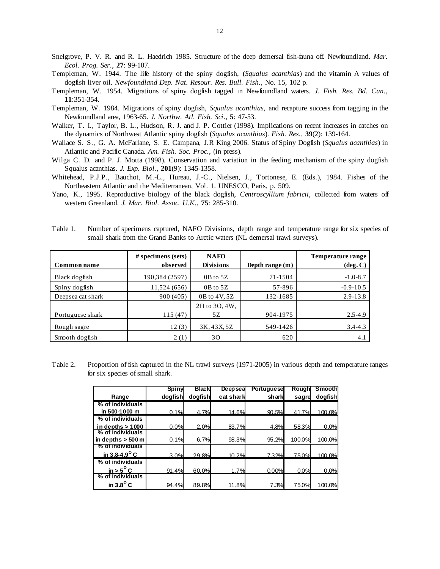- Snelgrove, P. V. R. and R. L. Haedrich 1985. Structure of the deep demersal fish-fauna off. Newfoundland. *Mar. Ecol. Prog. Ser*., **27**: 99-107.
- Templeman, W. 1944. The life history of the spiny dogfish, (*Squalus acanthias*) and the vitamin A values of dogfish liver oil. *Newfoundland Dep. Nat. Resour. Res. Bull. Fish*., No. 15, 102 p.
- Templeman, W. 1954. Migrations of spiny dogfish tagged in Newfoundland waters. *J. Fish. Res. Bd. Can*., **11**:351-354.
- Templeman, W. 1984. Migrations of spiny dogfish, *Squalus acanthias*, and recapture success from tagging in the Newfoundland area, 1963-65. *J. Northw. Atl. Fish. Sci*., **5**: 47-53.
- Walker, T. I., Taylor, B. L., Hudson, R. J. and J. P. Cottier (1998). Implications on recent increases in catches on the dynamics of Northwest Atlantic spiny dogfish (*Squalus acanthias*). *Fish. Res*., **39**(2): 139-164.
- Wallace S. S., G. A. McFarlane, S. E. Campana, J.R King 2006. Status of Spiny Dogfish (*Squalus acanthias*) in Atlantic and Pacific Canada. *Am. Fish. Soc. Proc*., (in press).
- Wilga C. D. and P. J. Motta (1998). Conservation and variation in the feeding mechanism of the spiny dogfish Squalus acanthias. *J. Exp. Biol*., **201**(9): 1345-1358.
- Whitehead, P.J.P., Bauchot, M.-L., Hureau, J.-C., Nielsen, J., Tortonese, E. (Eds.), 1984. Fishes of the Northeastern Atlantic and the Mediterranean, Vol. 1. UNESCO, Paris, p. 509.
- Yano, K., 1995. Reproductive biology of the black dogfish, *Centroscyllium fabricii*, collected from waters off western Greenland. *J. Mar. Biol. Assoc. U.K*., **75**: 285-310.
- Table 1. Number of specimens captured, NAFO Divisions, depth range and temperature range for six species of small shark from the Grand Banks to Arctic waters (NL demersal trawl surveys).

| Common name       | $#$ specimens (sets)<br>observed | <b>NAFO</b><br><b>Divisions</b> | Depth range (m) | Temperature range<br>$(\text{deg. C})$ |
|-------------------|----------------------------------|---------------------------------|-----------------|----------------------------------------|
| Black dogfish     | 190,384 (2597)                   | $0B$ to 5Z                      | 71-1504         | $-1.0 - 8.7$                           |
| Spiny dogfish     | 11,524 (656)                     | $0B$ to 5Z                      | 57-896          | $-0.9 - 10.5$                          |
| Deepsea cat shark | 900 (405)                        | 0B to 4V, 5Z                    | 132-1685        | $2.9 - 13.8$                           |
|                   |                                  | 2H to 3O, 4W,                   |                 |                                        |
| Portuguese shark  | 115 (47)                         | 57.                             | 904-1975        | $2.5 - 4.9$                            |
| Rough sagre       | 12(3)                            | 3K, 43X, 5Z                     | 549-1426        | $3.4 - 4.3$                            |
| Smooth dogfish    | 2(1)                             | 30                              | 620             | 4.1                                    |

Table 2. Proportion of fish captured in the NL trawl surveys (1971-2005) in various depth and temperature ranges for six species of small shark.

|                                       | Spiny   | <b>Black</b> | Deep sea  | <b>Portuguese</b> | <b>Rough</b> | <b>Smooth</b> |
|---------------------------------------|---------|--------------|-----------|-------------------|--------------|---------------|
| Range                                 | dogfish | dogfish      | cat shark | sh arkl           | sagre        | dogfish       |
| $%$ of individuals                    |         |              |           |                   |              |               |
| in 500-1000 m                         | 0.1%    | 4.7%         | 14.6%     | 90.5%             | 41.7%        | 100.0%        |
| % of individuals                      |         |              |           |                   |              |               |
| $\ln$ depths $> 1000$                 | 0.0%    | 2.0%         | 83.7%     | 4.8%              | 58.3%        | 0.0%          |
| % of individuals                      |         |              |           |                   |              |               |
| in depths $> 500 \,\mathrm{m}$        | 0.1%    | 6.7%         | 98.3%     | 95.2%             | 100.0%       | 100.0%        |
| % of individuals                      |         |              |           |                   |              |               |
| in $3.8 - 4.9$ <sup>o</sup> C         | 3.0%    | 29.8%        | 10.2%     | 7.32%             | 75.0%        | 100.0%        |
| % of individuals                      |         |              |           |                   |              |               |
| $\mathsf{in} \geq 5^\circ \mathsf{C}$ | 91.4%   | 60.0%        | 1.7%      | 0.00%             | 0.0%         | 0.0%          |
| % of individuals                      |         |              |           |                   |              |               |
| in $3.8^{\circ}$ C                    | 94.4%   | 89.8%        | 11.8%     | 7.3%              | 75.0%        | 100.0%        |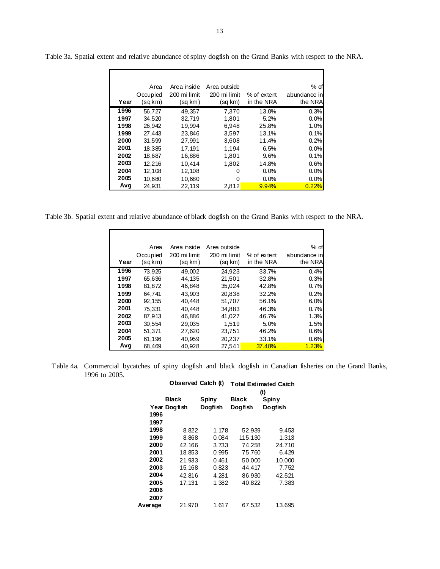|      | Area     | Area inside  | Area outside |             | $%$ of       |
|------|----------|--------------|--------------|-------------|--------------|
|      | Occupied | 200 mi limit | 200 mi limit | % of extent | abundance in |
| Year | (sqkm)   | (sq km)      | (sq km)      | in the NRA  | the NRA      |
| 1996 | 56.727   | 49.357       | 7.370        | 13.0%       | 0.3%         |
| 1997 | 34.520   | 32.719       | 1.801        | 5.2%        | 0.0%         |
| 1998 | 26.942   | 19.994       | 6.948        | 25.8%       | 1.0%         |
| 1999 | 27.443   | 23,846       | 3,597        | 13.1%       | 0.1%         |
| 2000 | 31,599   | 27.991       | 3,608        | 11.4%       | 0.2%         |
| 2001 | 18.385   | 17.191       | 1.194        | 6.5%        | 0.0%         |
| 2002 | 18,687   | 16.886       | 1.801        | 9.6%        | 0.1%         |
| 2003 | 12.216   | 10.414       | 1.802        | 14.8%       | 0.6%         |
| 2004 | 12,108   | 12, 108      | 0            | 0.0%        | 0.0%         |
| 2005 | 10.680   | 10,680       | 0            | 0.0%        | 0.0%         |
| Avg  | 24,931   | 22,119       | 2,812        | 9.94%       | 0.22%        |

Table 3a. Spatial extent and relative abundance of spiny dogfish on the Grand Banks with respect to the NRA.

Table 3b. Spatial extent and relative abundance of black dogfish on the Grand Banks with respect to the NRA.

|      | Area               | Area inside             | Area outside            |                           | $%$ of                  |
|------|--------------------|-------------------------|-------------------------|---------------------------|-------------------------|
| Year | Occupied<br>(sqkm) | 200 mi limit<br>(sq km) | 200 mi limit<br>(sa km) | % of extent<br>in the NRA | abundance in<br>the NRA |
| 1996 | 73.925             | 49.002                  | 24.923                  | 33.7%                     | 0.4%                    |
| 1997 | 65.636             | 44.135                  | 21,501                  | 32.8%                     | 0.3%                    |
| 1998 | 81.872             | 46.848                  | 35.024                  | 42.8%                     | 0.7%                    |
| 1999 | 64.741             | 43.903                  | 20.838                  | 32.2%                     | 0.2%                    |
| 2000 | 92,155             | 40,448                  | 51,707                  | 56.1%                     | 6.0%                    |
| 2001 | 75.331             | 40.448                  | 34.883                  | 46.3%                     | 0.7%                    |
| 2002 | 87,913             | 46,886                  | 41,027                  | 46.7%                     | 1.3%                    |
| 2003 | 30.554             | 29.035                  | 1.519                   | 5.0%                      | 1.5%                    |
| 2004 | 51.371             | 27,620                  | 23,751                  | 46.2%                     | 0.6%                    |
| 2005 | 61,196             | 40.959                  | 20.237                  | 33.1%                     | 0.6%                    |
| Avg  | 68.469             | 40.928                  | 27.541                  | 37.48%                    | 1.23%                   |

Table 4a. Commercial bycatches of spiny dogfish and black dogfish in Canadian fisheries on the Grand Banks, 1996 to 2005.

|         | <b>Observed Catch (t)</b> |         | <b>Total Estimated Catch</b><br>$^{(t)}$ |                 |  |
|---------|---------------------------|---------|------------------------------------------|-----------------|--|
|         | Black                     |         | <b>Black</b>                             | Spiny           |  |
|         | Year Dogfish              | Dogfish | Dogfish                                  | <b>Do gfish</b> |  |
| 1996    |                           |         |                                          |                 |  |
| 1997    |                           |         |                                          |                 |  |
| 1998    | 8.822                     | 1.178   | 52.939                                   | 9.453           |  |
| 1999    | 8.868                     | 0.084   | 115.130                                  | 1.313           |  |
| 2000    | 42.166                    | 3.733   | 74.258                                   | 24.710          |  |
| 2001    | 18.853                    | 0.995   | 75.760                                   | 6.429           |  |
| 2002    | 21.933                    | 0.461   | 50.000                                   | 10.000          |  |
| 2003    | 15.168                    | 0.823   | 44.417                                   | 7.752           |  |
| 2004    | 42.816                    | 4.281   | 86.930                                   | 42.521          |  |
| 2005    | 17.131                    | 1.382   | 40.822                                   | 7.383           |  |
| 2006    |                           |         |                                          |                 |  |
| 2007    |                           |         |                                          |                 |  |
| Average | 21.970                    | 1.617   | 67.532                                   | 13.695          |  |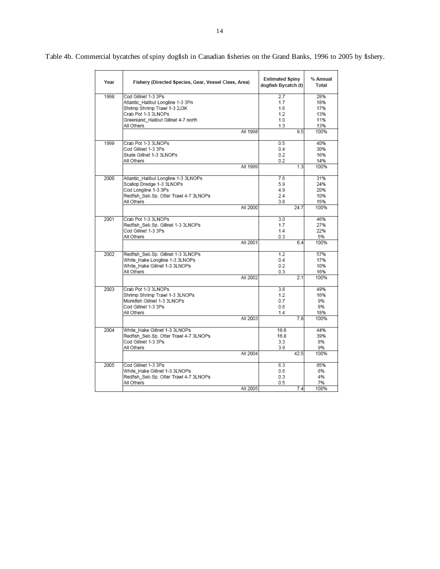| Year | Fishery (Directed Species, Gear, Vessel Class, Area) | <b>Estimated Spiny</b><br>dogfish Bycatch (t) | % Annual<br>Total |
|------|------------------------------------------------------|-----------------------------------------------|-------------------|
| 1998 | Cod Gillnet 1-3 3Ps                                  | 2.7                                           | 28%               |
|      | Atlantic Halibut Longline 1-3 3Pn                    | 1.7                                           | 18%               |
|      | Shrimp Shrimp Trawl 1-3 2J3K                         | 1.6                                           | 17%               |
|      | Crab Pot 1-3 3LNOPs                                  | 1.2                                           | 13%               |
|      | Greenland Halibut Gillnet 4-7 north<br>All Others    | 1.0<br>1.3                                    | 11%<br>13%        |
|      | All 1998                                             | 9.5                                           | 100%              |
|      |                                                      |                                               |                   |
| 1999 | Crab Pot 1-3 3LNOPs                                  | 0.5                                           | 40%               |
|      | Cod Gillnet 1-3 3Ps                                  | 0.4                                           | 30%               |
|      | Skate Gillnet 1-3 3LNOPs                             | 0.2                                           | 16%               |
|      | All Others                                           | 0.2                                           | 14%               |
|      | All 1999                                             | 1.3                                           | 100%              |
| 2000 | Atlantic Halibut Longline 1-3 3LNOPs                 | 7.6                                           | 31%               |
|      | Scallop Dredge 1-3 3LNOPs                            | 5.9                                           | 24%               |
|      | Cod Longline 1-3 3Ps                                 | 4.9                                           | 20%               |
|      | Redfish_Seb.Sp. Otter Trawl 4-7 3LNOPs<br>All Others | 2.4<br>3.8                                    | 10%<br>15%        |
|      | All 2000                                             | 24.7                                          | 100%              |
| 2001 | Crab Pot 1-3 3LNOPs                                  | 3.0                                           | 46%               |
|      | Redfish Seb.Sp. Gillnet 1-3 3LNOPs                   | 1.7                                           | 27%               |
|      | Cod Gillnet 1-3 3Ps                                  | 1.4                                           | 22%               |
|      | All Others                                           | 0.3                                           | 5%                |
|      | All 2001                                             | 6.4                                           | 100%              |
| 2002 | Redfish Seb.Sp. Gillnet 1-3 3LNOPs                   | 12                                            | 57%               |
|      | White Hake Longline 1-3 3LNOPs                       | 0.4                                           | 17%               |
|      | White_Hake Gillnet 1-3 3LNOPs                        | 0.2                                           | 10%               |
|      | All Others                                           | 0.3                                           | 16%               |
|      | All 2002                                             | 2.1                                           | 100%              |
| 2003 | Crab Pot 1-3 3LNOPs                                  | 3.8                                           | 49%               |
|      | Shrimp Shrimp Trawl 1-3 3LNOPs                       | 1.2                                           | 16%               |
|      | Monkfish Gillnet 1-3 3LNOPs                          | 0.7                                           | 9%                |
|      | Cod Gillnet 1-3 3Ps                                  | 0.6                                           | 8%                |
|      | All Others<br>All 2003                               | 1.4<br>7.8                                    | 18%<br>100%       |
|      |                                                      |                                               |                   |
| 2004 | White_Hake Gillnet 1-3 3LNOPs                        | 18.6                                          | 44%               |
|      | Redfish Seb.Sp. Otter Trawl 4-7 3LNOPs               | 16.8                                          | 39%               |
|      | Cod Gillnet 1-3 3Ps<br>All Others                    | 3.3<br>3.9                                    | 8%<br>9%          |
|      | All 2004                                             | 42.5                                          | 100%              |
|      |                                                      |                                               |                   |
| 2005 | Cod Gillnet 1-3 3Ps                                  | 6.3<br>0.6                                    | 85%<br>8%         |
|      | White Hake Gillnet 1-3 3LNOPs                        | 0.3                                           | 4%                |
|      | Redfish Seb.Sp. Otter Trawl 4-7 3LNOPs<br>All Others | 0.5                                           | 7%                |
|      | All 2005                                             | 7.4                                           | 100%              |
|      |                                                      |                                               |                   |

Table 4b. Commercial bycatches of spiny dogfish in Canadian fisheries on the Grand Banks, 1996 to 2005 by fishery.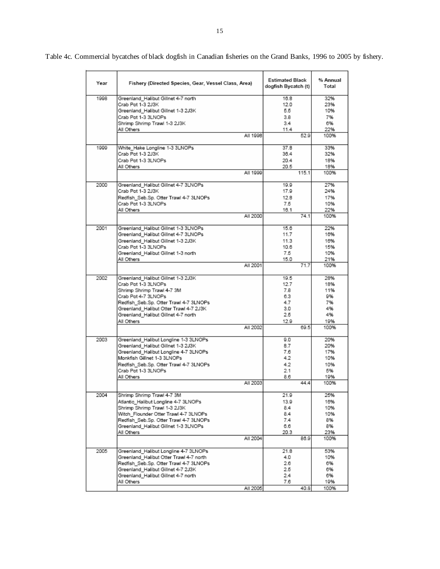| Year | Fishery (Directed Species, Gear, Vessel Class, Area) | <b>Estimated Black</b><br>dogfish Bycatch (t) | % Annual<br>Total |
|------|------------------------------------------------------|-----------------------------------------------|-------------------|
| 1998 | Greenland Halibut Gillnet 4-7 north                  | 16.8                                          | 32%               |
|      | Crab Pot 1-3 2J3K                                    | 12.0                                          | 23%               |
|      | Greenland Halibut Gillnet 1-3 2J3K                   | 5.5                                           | 10%               |
|      | Crab Pot 1-3 3LNOPs                                  | 3.8                                           | 7%                |
|      | Shrimp Shrimp Trawl 1-3 2J3K                         | 3.4                                           | 6%                |
|      | All Others                                           | 11.4                                          | 22%               |
|      | All 1998                                             | 529                                           | 100%              |
| 1999 | White_Hake Longline 1-3 3LNOPs                       | 37.8                                          | 33%               |
|      | Crab Pot 1-3 2J3K                                    | 36.4                                          | 32%               |
|      | Crab Pot 1-3 3LNOPs                                  | 20.4                                          | 18%               |
|      | All Others                                           | 20.5                                          | 18%               |
|      | All 1999                                             | 115.1                                         | 100%              |
| 2000 | Greenland Halibut Gillnet 4-7 3LNOPs                 | 19.9                                          | 27%               |
|      | Crab Pot 1-3 2J3K                                    | 17.9                                          | 24%               |
|      | Redfish Seb.Sp. Otter Trawl 4-7 3LNOPs               | 12.8                                          | 17%               |
|      | Crab Pot 1-3 3LNOPs                                  | 7.5                                           | 10%               |
|      | All Others                                           | 16.1                                          | 22%               |
|      | All 2000                                             | 74 1                                          | 100%              |
| 2001 | Greenland Halibut Gillnet 1-3 3LNOPs                 | 15.6                                          | 22%               |
|      | Greenland Halibut Gillnet 4-7 3LNOPs                 | 11.7                                          | 16%               |
|      | Greenland Halibut Gillnet 1-3 2J3K                   | 11.3                                          | 16%               |
|      | Crab Pot 1-3 3LNOPs                                  | 10.6                                          | 15%               |
|      | Greenland Halibut Gillnet 1-3 north                  | 7.5                                           | 10%               |
|      | All Others                                           | 15.0                                          | 21%               |
|      | All 2001                                             | 71.7                                          | 100%              |
| 2002 | Greenland Halibut Gillnet 1-3 2J3K                   | 19.5                                          | 28%               |
|      | Crab Pot 1-3 3LNOPs                                  | 12.7                                          | 18%               |
|      | Shrimp Shrimp Trawl 4-7 3M                           | 7.8                                           | 11%               |
|      | Crab Pot 4-7 3LNOPs                                  | 6.3                                           | 9%                |
|      | Redfish Seb.Sp. Otter Trawl 4-7 3LNOPs               | 4.7                                           | 7%                |
|      | Greenland Halibut Otter Trawl 4-7 2J3K               | 3.0                                           | 4%                |
|      | Greenland Halibut Gillnet 4-7 north                  | 2.5                                           | 4%                |
|      | All Others                                           | 12.9                                          | 19%               |
|      | All 2002                                             | 69.5                                          | 100%              |
| 2003 | Greenland Halibut Longline 1-3 3LNOPs                | 9.0                                           | 20%               |
|      | Greenland Halibut Gillnet 1-3 2J3K                   | 8.7                                           | 20%               |
|      | Greenland_Halibut Longline 4-7 3LNOPs                | 7.6                                           | 17%               |
|      | Monkfish Gillnet 1-3 3LNOPs                          | 4.2                                           | 10%               |
|      | Redfish Seb.Sp. Otter Trawl 4-7 3LNOPs               | 4.2                                           | 10%               |
|      | Crab Pot 1-3 3LNOPs                                  | 2.1                                           | 5%                |
|      | All Others                                           | 8.6                                           | 19%               |
|      | All 2003                                             | 4444                                          | 100%              |
| 2004 | Shrimp Shrimp Trawl 4-7 3M                           | 21.9                                          | 25%               |
|      | Atlantic Halibut Longline 4-7 3LNOPs                 | 13.9                                          | 16%               |
|      | Shrimp Shrimp Trawl 1-3 2J3K                         | 8.4                                           | 10%               |
|      | Witch Flounder Otter Trawl 4-7 3LNOPs                | 8.4                                           | 10%               |
|      | Redfish Seb.Sp. Otter Trawl 4-7 3LNOPs               | 7.4                                           | 8%                |
|      | Greenland_Halibut Gillnet 1-3 3LNOPs                 | 6.6                                           | 8%                |
|      | All Others                                           | 20.3                                          | 23%               |
|      | All 2004                                             | 86.9                                          | 100%              |
| 2005 | Greenland Halibut Longline 4-7 3LNOPs                | 21.8                                          | 53%               |
|      | Greenland Halibut Otter Trawl 4-7 north              | 4.0                                           | 10%               |
|      | Redfish Seb.Sp. Otter Trawl 4-7 3LNOPs               | 2.6                                           | 6%                |
|      | Greenland Halibut Gillnet 4-7 2J3K                   | 2.5                                           | 6%                |
|      | Greenland Halibut Gillnet 4-7 north                  | 2.4                                           | 6%                |
|      | All Others                                           | 7.6                                           | 19%               |
|      | All 2005                                             | 40.8                                          | 100%              |

Table 4c. Commercial bycatches of black dogfish in Canadian fisheries on the Grand Banks, 1996 to 2005 by fishery.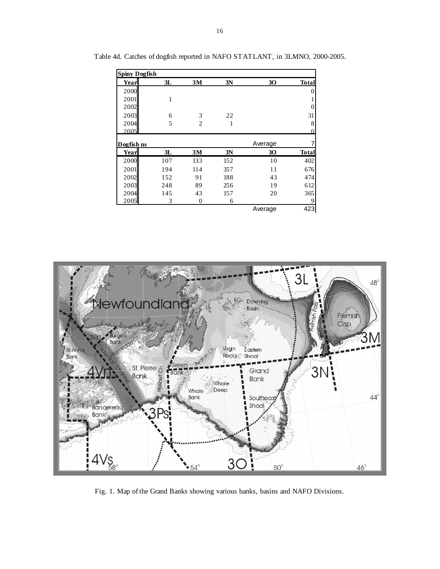| <b>Spiny Dogfish</b> |     |                |     |         |              |
|----------------------|-----|----------------|-----|---------|--------------|
| Yearl                | 3L  | 3M             | 3N  | 30      | <b>Total</b> |
| 2000                 |     |                |     |         | 0            |
| 2001                 | 1   |                |     |         |              |
| 2002                 |     |                |     |         | 0            |
| 2003                 | 6   | 3              | 22  |         | 31           |
| 2004                 | 5   | $\mathfrak{D}$ | 1   |         | 8            |
| 2005                 |     |                |     |         | 0            |
| Dogfish ns           |     |                |     | Average |              |
| Year                 | 3L  | 3M             | 3N  | 30      | <b>Total</b> |
| 2000                 | 107 | 133            | 152 | 10      | 402          |
| 2001                 | 194 | 114            | 357 | 11      | 676          |
| 2002                 | 152 | 91             | 188 | 43      | 474          |
| 2003                 | 248 | 89             | 256 | 19      | 612          |
| 2004                 | 145 | 43             | 157 | 20      | 365          |
| 2005                 | 3   | 0              | 6   |         | 9            |
|                      |     |                |     | Average | 423          |

Table 4d. Catches of dogfish reported in NAFO STATLANT, in 3LMNO, 2000-2005.



Fig. 1. Map of the Grand Banks showing various banks, basins and NAFO Divisions.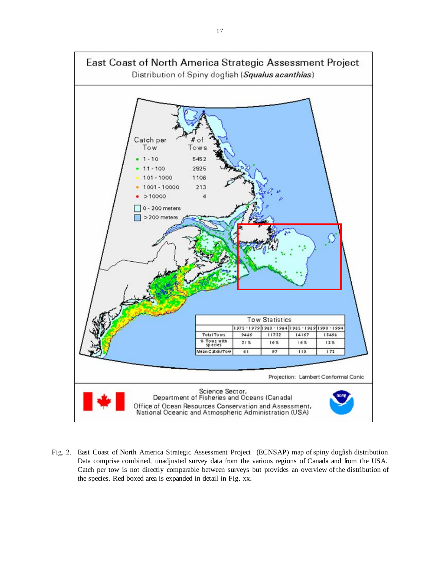

Fig. 2. East Coast of North America Strategic Assessment Project (ECNSAP) map of spiny dogfish distribution Data comprise combined, unadjusted survey data from the various regions of Canada and from the USA. Catch per tow is not directly comparable between surveys but provides an overview of the distribution of the species. Red boxed area is expanded in detail in Fig. xx.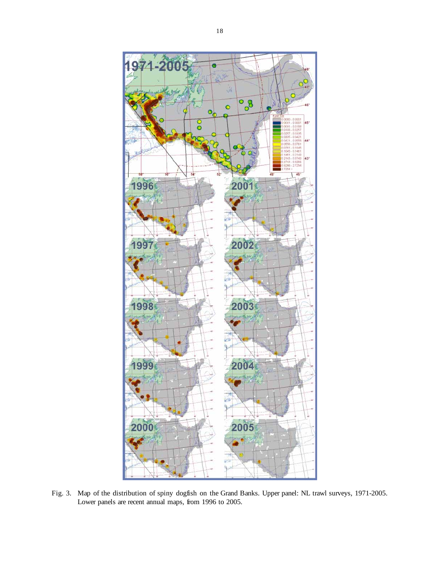

Fig. 3. Map of the distribution of spiny dogfish on the Grand Banks. Upper panel: NL trawl surveys, 1971-2005. Lower panels are recent annual maps, from 1996 to 2005.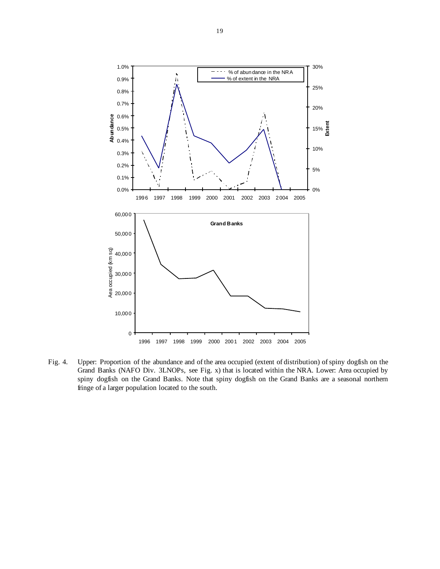

Fig. 4. Upper: Proportion of the abundance and of the area occupied (extent of distribution) of spiny dogfish on the Grand Banks (NAFO Div. 3LNOPs, see Fig. x) that is located within the NRA. Lower: Area occupied by spiny dogfish on the Grand Banks. Note that spiny dogfish on the Grand Banks are a seasonal northern fringe of a larger population located to the south.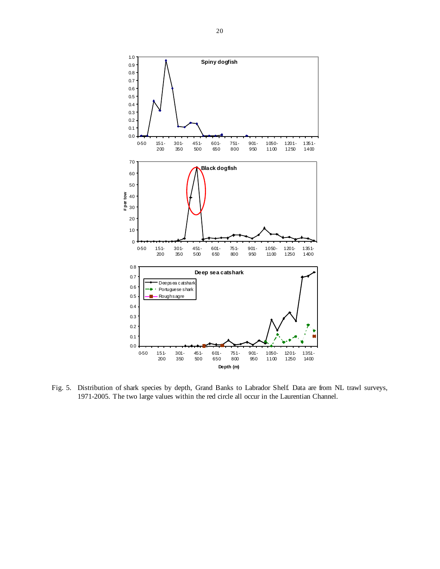

Fig. 5. Distribution of shark species by depth, Grand Banks to Labrador Shelf. Data are from NL trawl surveys, 1971-2005. The two large values within the red circle all occur in the Laurentian Channel.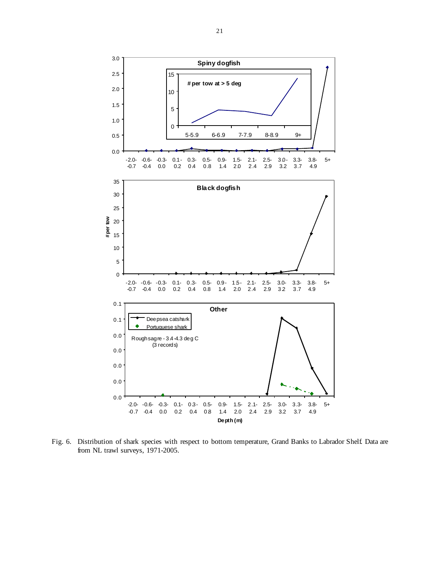



Fig. 6. Distribution of shark species with respect to bottom temperature, Grand Banks to Labrador Shelf. Data are from NL trawl surveys, 1971-2005.

3.0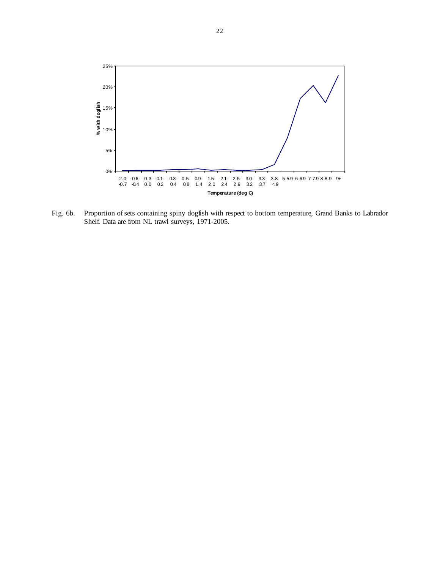

Fig. 6b. Proportion of sets containing spiny dogfish with respect to bottom temperature, Grand Banks to Labrador Shelf. Data are from NL trawl surveys, 1971-2005.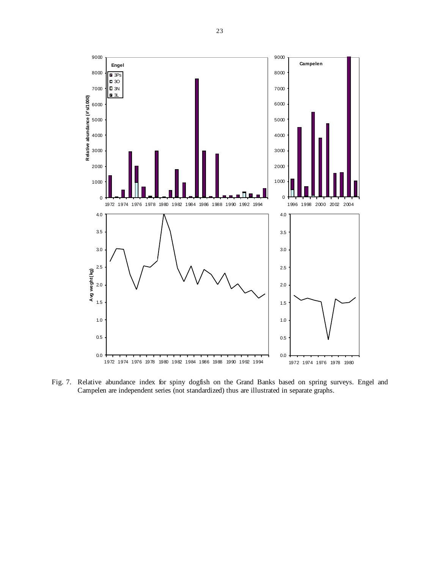

Fig. 7. Relative abundance index for spiny dogfish on the Grand Banks based on spring surveys. Engel and Campelen are independent series (not standardized) thus are illustrated in separate graphs.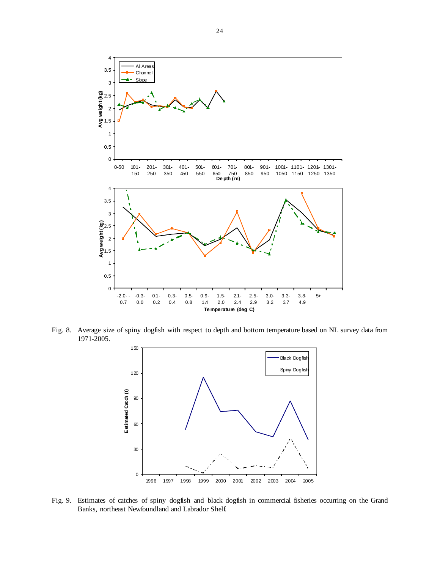

Fig. 8. Average size of spiny dogfish with respect to depth and bottom temperature based on NL survey data from 1971-2005.



Fig. 9. Estimates of catches of spiny dogfish and black dogfish in commercial fisheries occurring on the Grand Banks, northeast Newfoundland and Labrador Shelf.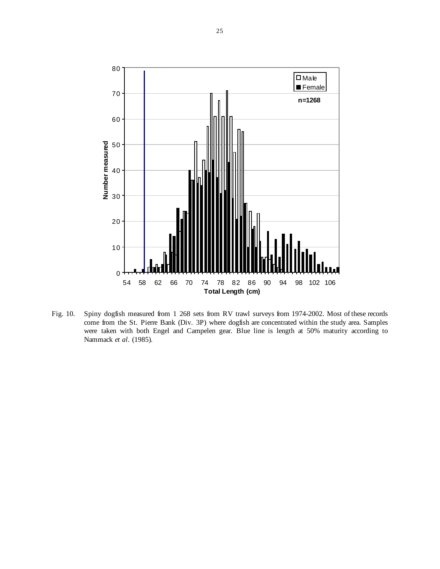

Fig. 10. Spiny dogfish measured from 1 268 sets from RV trawl surveys from 1974-2002. Most of these records come from the St. Pierre Bank (Div. 3P) where dogfish are concentrated within the study area. Samples were taken with both Engel and Campelen gear. Blue line is length at 50% maturity according to Nammack *et al*. (1985).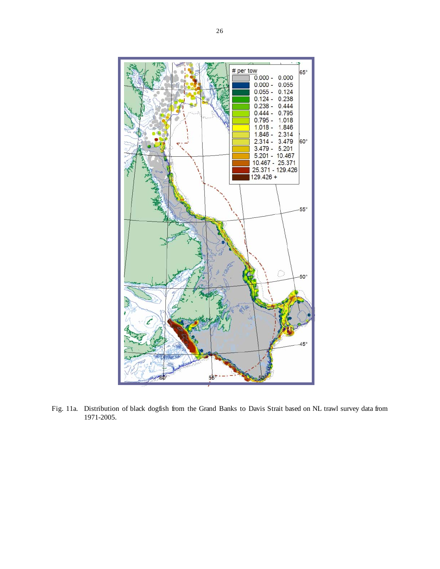

Fig. 11a. Distribution of black dogfish from the Grand Banks to Davis Strait based on NL trawl survey data from 1971-2005.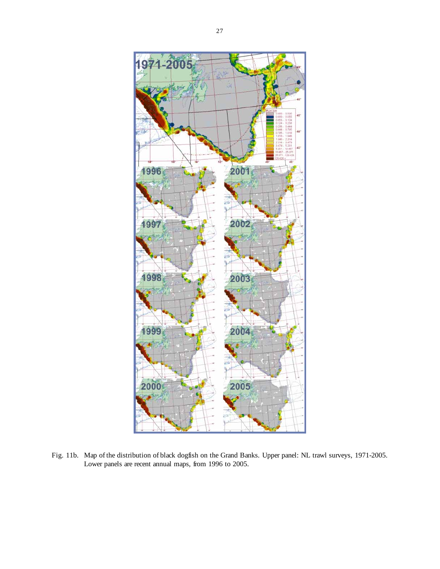

Fig. 11b. Map of the distribution of black dogfish on the Grand Banks. Upper panel: NL trawl surveys, 1971-2005. Lower panels are recent annual maps, from 1996 to 2005.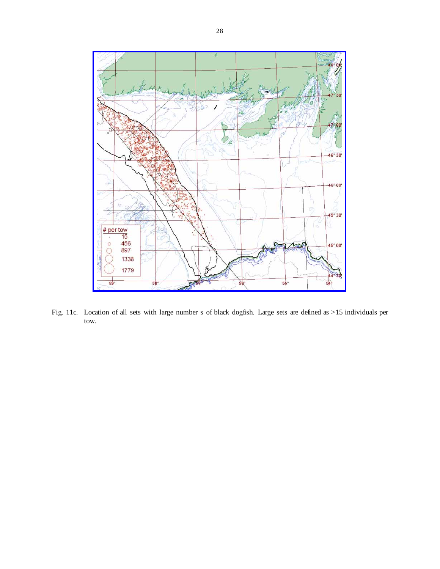

Fig. 11c. Location of all sets with large number s of black dogfish. Large sets are defined as >15 individuals per tow.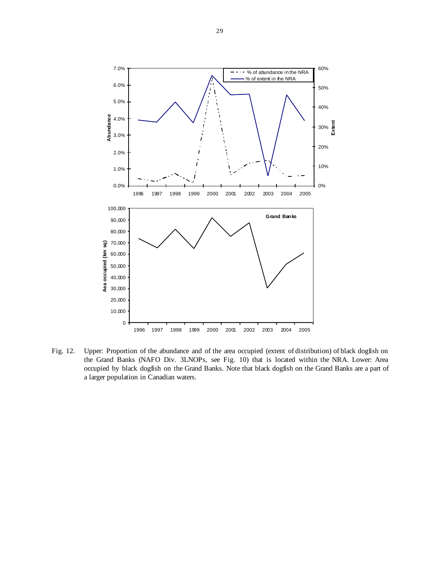

Fig. 12. Upper: Proportion of the abundance and of the area occupied (extent of distribution) of black dogfish on the Grand Banks (NAFO Div. 3LNOPs, see Fig. 10) that is located within the NRA. Lower: Area occupied by black dogfish on the Grand Banks. Note that black dogfish on the Grand Banks are a part of a larger population in Canadian waters.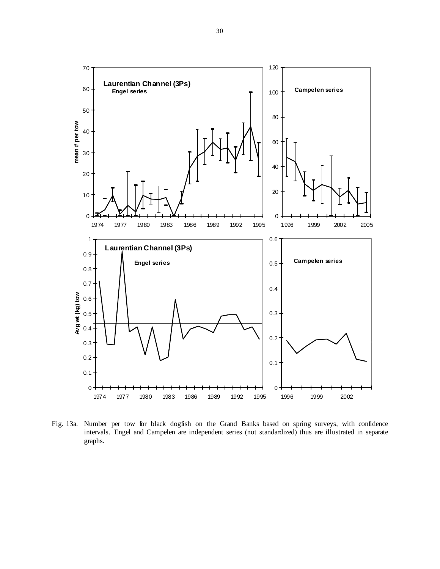

Fig. 13a. Number per tow for black dogfish on the Grand Banks based on spring surveys, with confidence intervals. Engel and Campelen are independent series (not standardized) thus are illustrated in separate graphs.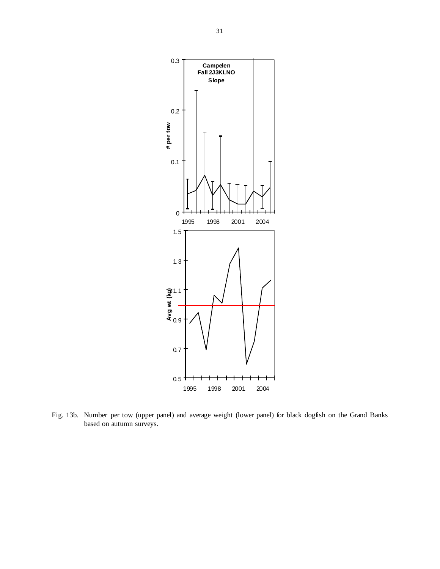

Fig. 13b. Number per tow (upper panel) and average weight (lower panel) for black dogfish on the Grand Banks based on autumn surveys.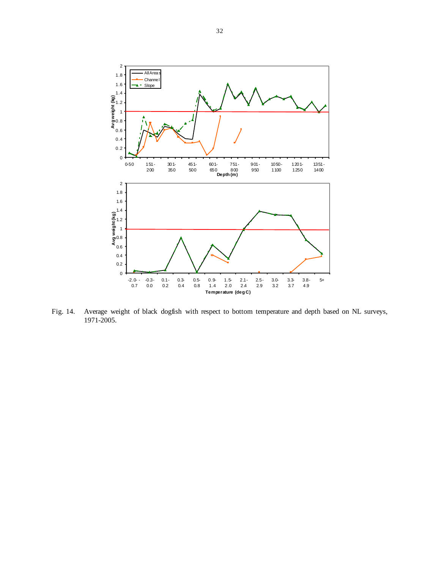

Fig. 14. Average weight of black dogfish with respect to bottom temperature and depth based on NL surveys, 1971-2005.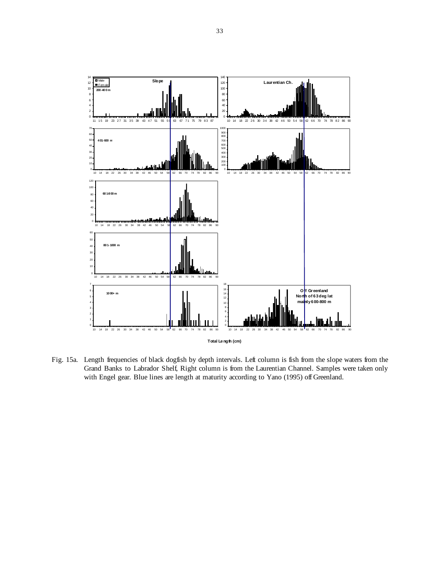

Fig. 15a. Length frequencies of black dogfish by depth intervals. Left column is fish from the slope waters from the Grand Banks to Labrador Shelf, Right column is from the Laurentian Channel. Samples were taken only with Engel gear. Blue lines are length at maturity according to Yano (1995) off Greenland.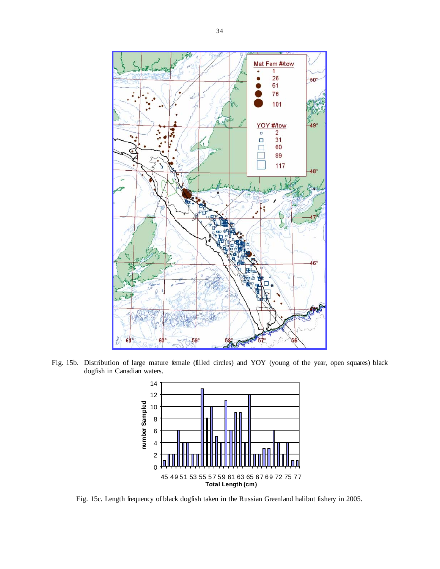

Fig. 15b. Distribution of large mature female (filled circles) and YOY (young of the year, open squares) black dogfish in Canadian waters.



Fig. 15c. Length frequency of black dogfish taken in the Russian Greenland halibut fishery in 2005.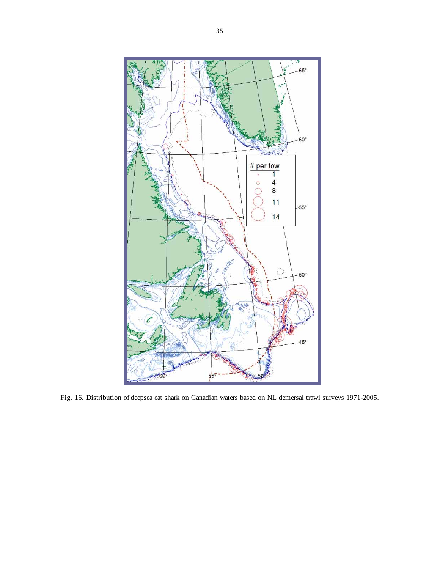

Fig. 16. Distribution of deepsea cat shark on Canadian waters based on NL demersal trawl surveys 1971-2005.